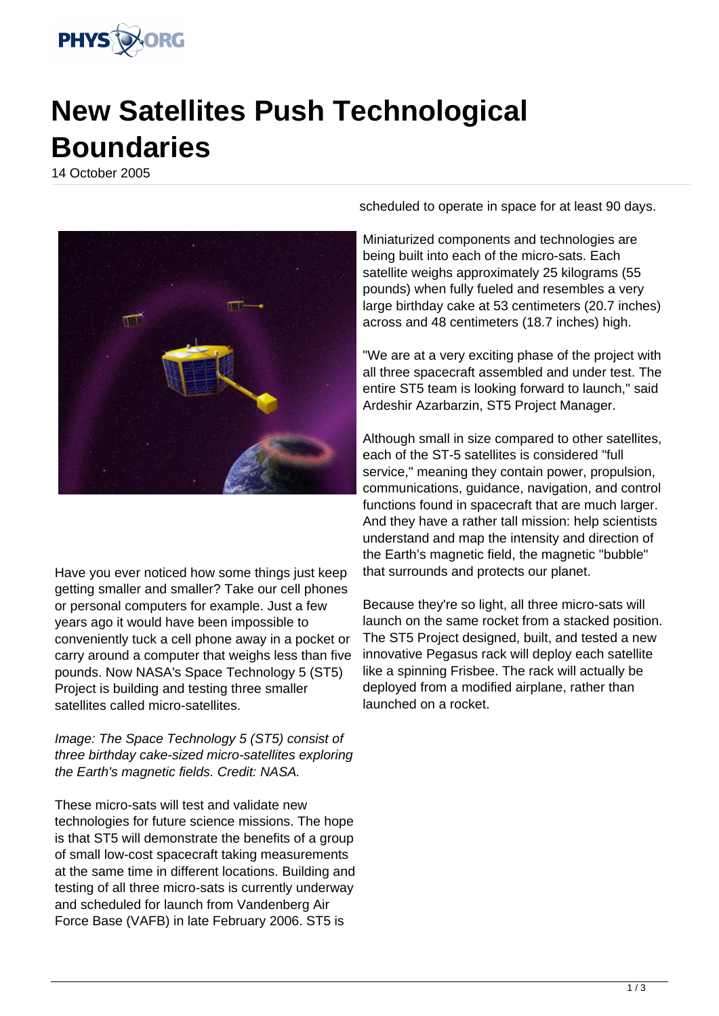

## **New Satellites Push Technological Boundaries**

14 October 2005



Have you ever noticed how some things just keep getting smaller and smaller? Take our cell phones or personal computers for example. Just a few years ago it would have been impossible to conveniently tuck a cell phone away in a pocket or carry around a computer that weighs less than five pounds. Now NASA's Space Technology 5 (ST5) Project is building and testing three smaller satellites called micro-satellites.

Image: The Space Technology 5 (ST5) consist of three birthday cake-sized micro-satellites exploring the Earth's magnetic fields. Credit: NASA.

These micro-sats will test and validate new technologies for future science missions. The hope is that ST5 will demonstrate the benefits of a group of small low-cost spacecraft taking measurements at the same time in different locations. Building and testing of all three micro-sats is currently underway and scheduled for launch from Vandenberg Air Force Base (VAFB) in late February 2006. ST5 is

scheduled to operate in space for at least 90 days.

Miniaturized components and technologies are being built into each of the micro-sats. Each satellite weighs approximately 25 kilograms (55 pounds) when fully fueled and resembles a very large birthday cake at 53 centimeters (20.7 inches) across and 48 centimeters (18.7 inches) high.

"We are at a very exciting phase of the project with all three spacecraft assembled and under test. The entire ST5 team is looking forward to launch," said Ardeshir Azarbarzin, ST5 Project Manager.

Although small in size compared to other satellites, each of the ST-5 satellites is considered "full service," meaning they contain power, propulsion, communications, guidance, navigation, and control functions found in spacecraft that are much larger. And they have a rather tall mission: help scientists understand and map the intensity and direction of the Earth's magnetic field, the magnetic "bubble" that surrounds and protects our planet.

Because they're so light, all three micro-sats will launch on the same rocket from a stacked position. The ST5 Project designed, built, and tested a new innovative Pegasus rack will deploy each satellite like a spinning Frisbee. The rack will actually be deployed from a modified airplane, rather than launched on a rocket.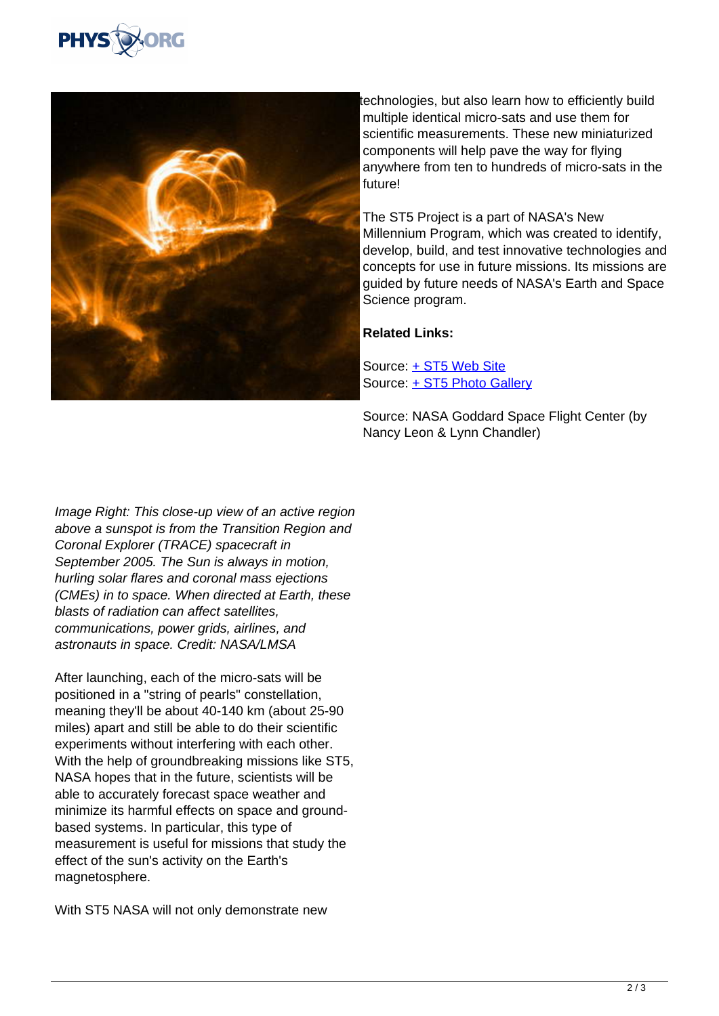



technologies, but also learn how to efficiently build multiple identical micro-sats and use them for scientific measurements. These new miniaturized components will help pave the way for flying anywhere from ten to hundreds of micro-sats in the future!

The ST5 Project is a part of NASA's New Millennium Program, which was created to identify, develop, build, and test innovative technologies and concepts for use in future missions. Its missions are guided by future needs of NASA's Earth and Space Science program.

## **Related Links:**

Source: [+ ST5 Web Site](http://nmp.jpl.nasa.gov/st5/) Source: [+ ST5 Photo Gallery](http://www.nasa.gov/vision/universe/solarsystem/st5_gallery.html)

Source: NASA Goddard Space Flight Center (by Nancy Leon & Lynn Chandler)

Image Right: This close-up view of an active region above a sunspot is from the Transition Region and Coronal Explorer (TRACE) spacecraft in September 2005. The Sun is always in motion, hurling solar flares and coronal mass ejections (CMEs) in to space. When directed at Earth, these blasts of radiation can affect satellites, communications, power grids, airlines, and astronauts in space. Credit: NASA/LMSA

After launching, each of the micro-sats will be positioned in a "string of pearls" constellation, meaning they'll be about 40-140 km (about 25-90 miles) apart and still be able to do their scientific experiments without interfering with each other. With the help of groundbreaking missions like ST5, NASA hopes that in the future, scientists will be able to accurately forecast space weather and minimize its harmful effects on space and groundbased systems. In particular, this type of measurement is useful for missions that study the effect of the sun's activity on the Earth's magnetosphere.

With ST5 NASA will not only demonstrate new